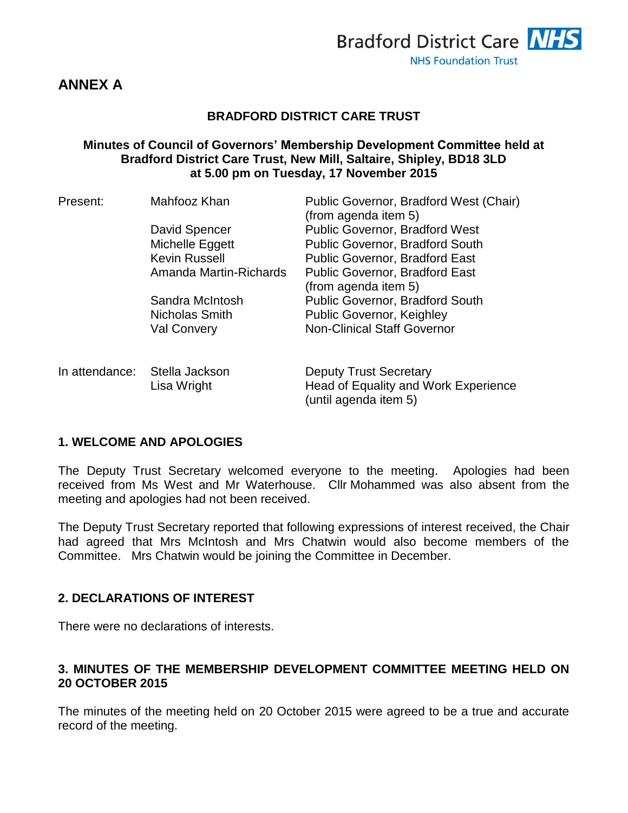

# **ANNEX A**

#### **BRADFORD DISTRICT CARE TRUST**

#### **Minutes of Council of Governors' Membership Development Committee held at Bradford District Care Trust, New Mill, Saltaire, Shipley, BD18 3LD at 5.00 pm on Tuesday, 17 November 2015**

| Present:       | Mahfooz Khan           | Public Governor, Bradford West (Chair)<br>(from agenda item 5) |  |
|----------------|------------------------|----------------------------------------------------------------|--|
|                | David Spencer          | <b>Public Governor, Bradford West</b>                          |  |
|                | Michelle Eggett        | <b>Public Governor, Bradford South</b>                         |  |
|                | <b>Kevin Russell</b>   | Public Governor, Bradford East                                 |  |
|                | Amanda Martin-Richards | <b>Public Governor, Bradford East</b><br>(from agenda item 5)  |  |
|                | Sandra McIntosh        | <b>Public Governor, Bradford South</b>                         |  |
|                | Nicholas Smith         | <b>Public Governor, Keighley</b>                               |  |
|                | <b>Val Convery</b>     | <b>Non-Clinical Staff Governor</b>                             |  |
| In attendance: | Stella Jackson         | <b>Deputy Trust Secretary</b>                                  |  |
|                | Lisa Wright            | Head of Equality and Work Experience<br>(until agenda item 5)  |  |

## **1. WELCOME AND APOLOGIES**

The Deputy Trust Secretary welcomed everyone to the meeting. Apologies had been received from Ms West and Mr Waterhouse. Cllr Mohammed was also absent from the meeting and apologies had not been received.

The Deputy Trust Secretary reported that following expressions of interest received, the Chair had agreed that Mrs McIntosh and Mrs Chatwin would also become members of the Committee. Mrs Chatwin would be joining the Committee in December.

#### **2. DECLARATIONS OF INTEREST**

There were no declarations of interests.

### **3. MINUTES OF THE MEMBERSHIP DEVELOPMENT COMMITTEE MEETING HELD ON 20 OCTOBER 2015**

The minutes of the meeting held on 20 October 2015 were agreed to be a true and accurate record of the meeting.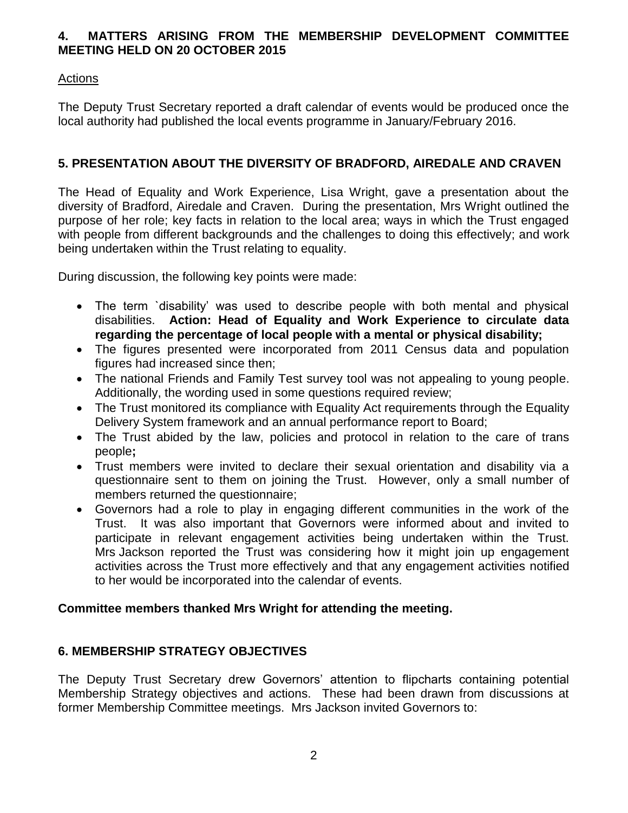### **4. MATTERS ARISING FROM THE MEMBERSHIP DEVELOPMENT COMMITTEE MEETING HELD ON 20 OCTOBER 2015**

## Actions

The Deputy Trust Secretary reported a draft calendar of events would be produced once the local authority had published the local events programme in January/February 2016.

## **5. PRESENTATION ABOUT THE DIVERSITY OF BRADFORD, AIREDALE AND CRAVEN**

The Head of Equality and Work Experience, Lisa Wright, gave a presentation about the diversity of Bradford, Airedale and Craven. During the presentation, Mrs Wright outlined the purpose of her role; key facts in relation to the local area; ways in which the Trust engaged with people from different backgrounds and the challenges to doing this effectively; and work being undertaken within the Trust relating to equality.

During discussion, the following key points were made:

- The term `disability' was used to describe people with both mental and physical disabilities. **Action: Head of Equality and Work Experience to circulate data regarding the percentage of local people with a mental or physical disability;**
- The figures presented were incorporated from 2011 Census data and population figures had increased since then;
- The national Friends and Family Test survey tool was not appealing to young people. Additionally, the wording used in some questions required review;
- The Trust monitored its compliance with Equality Act requirements through the Equality Delivery System framework and an annual performance report to Board;
- The Trust abided by the law, policies and protocol in relation to the care of trans people**;**
- Trust members were invited to declare their sexual orientation and disability via a questionnaire sent to them on joining the Trust. However, only a small number of members returned the questionnaire;
- Governors had a role to play in engaging different communities in the work of the Trust. It was also important that Governors were informed about and invited to participate in relevant engagement activities being undertaken within the Trust. Mrs Jackson reported the Trust was considering how it might join up engagement activities across the Trust more effectively and that any engagement activities notified to her would be incorporated into the calendar of events.

#### **Committee members thanked Mrs Wright for attending the meeting.**

#### **6. MEMBERSHIP STRATEGY OBJECTIVES**

The Deputy Trust Secretary drew Governors' attention to flipcharts containing potential Membership Strategy objectives and actions. These had been drawn from discussions at former Membership Committee meetings. Mrs Jackson invited Governors to: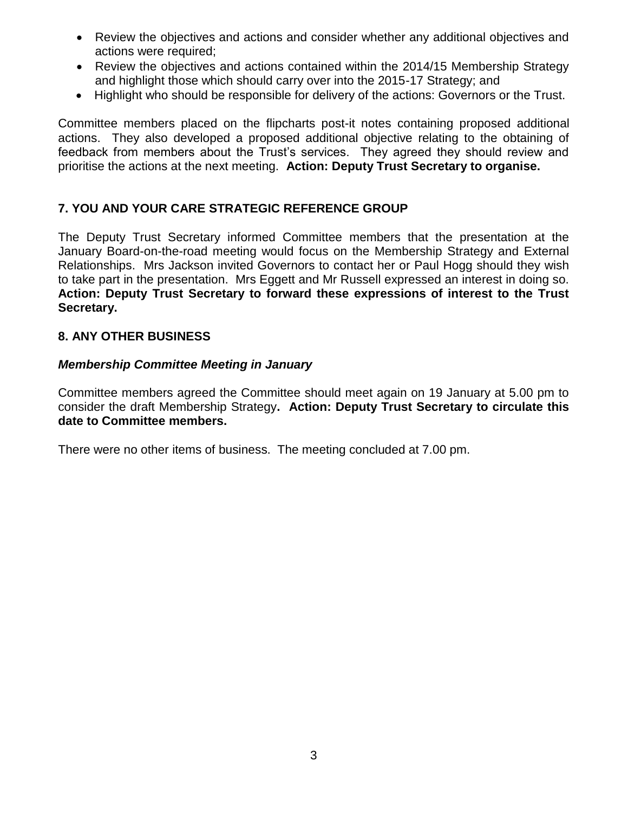- Review the objectives and actions and consider whether any additional objectives and actions were required;
- Review the objectives and actions contained within the 2014/15 Membership Strategy and highlight those which should carry over into the 2015-17 Strategy; and
- Highlight who should be responsible for delivery of the actions: Governors or the Trust.

Committee members placed on the flipcharts post-it notes containing proposed additional actions. They also developed a proposed additional objective relating to the obtaining of feedback from members about the Trust's services. They agreed they should review and prioritise the actions at the next meeting. **Action: Deputy Trust Secretary to organise.** 

### **7. YOU AND YOUR CARE STRATEGIC REFERENCE GROUP**

The Deputy Trust Secretary informed Committee members that the presentation at the January Board-on-the-road meeting would focus on the Membership Strategy and External Relationships. Mrs Jackson invited Governors to contact her or Paul Hogg should they wish to take part in the presentation. Mrs Eggett and Mr Russell expressed an interest in doing so. **Action: Deputy Trust Secretary to forward these expressions of interest to the Trust Secretary.**

#### **8. ANY OTHER BUSINESS**

#### *Membership Committee Meeting in January*

Committee members agreed the Committee should meet again on 19 January at 5.00 pm to consider the draft Membership Strategy**. Action: Deputy Trust Secretary to circulate this date to Committee members.**

There were no other items of business. The meeting concluded at 7.00 pm.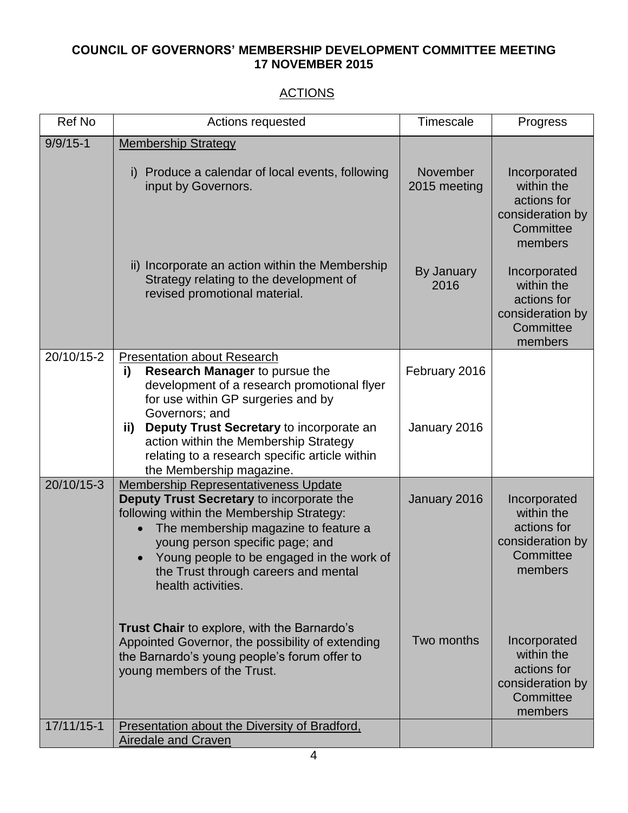# **COUNCIL OF GOVERNORS' MEMBERSHIP DEVELOPMENT COMMITTEE MEETING 17 NOVEMBER 2015**

# **ACTIONS**

| <b>Ref No</b> | Actions requested                                                                                                                                                                                                                                                                                                           | Timescale                | Progress                                                                              |
|---------------|-----------------------------------------------------------------------------------------------------------------------------------------------------------------------------------------------------------------------------------------------------------------------------------------------------------------------------|--------------------------|---------------------------------------------------------------------------------------|
| $9/9/15 - 1$  | <b>Membership Strategy</b>                                                                                                                                                                                                                                                                                                  |                          |                                                                                       |
|               | Produce a calendar of local events, following<br>i)<br>input by Governors.                                                                                                                                                                                                                                                  | November<br>2015 meeting | Incorporated<br>within the<br>actions for<br>consideration by<br>Committee<br>members |
|               | ii) Incorporate an action within the Membership<br>Strategy relating to the development of<br>revised promotional material.                                                                                                                                                                                                 | By January<br>2016       | Incorporated<br>within the<br>actions for<br>consideration by<br>Committee<br>members |
| 20/10/15-2    | <b>Presentation about Research</b><br><b>Research Manager to pursue the</b><br>i)<br>development of a research promotional flyer<br>for use within GP surgeries and by<br>Governors; and                                                                                                                                    | February 2016            |                                                                                       |
|               | Deputy Trust Secretary to incorporate an<br>ii)<br>action within the Membership Strategy<br>relating to a research specific article within<br>the Membership magazine.                                                                                                                                                      | January 2016             |                                                                                       |
| 20/10/15-3    | <b>Membership Representativeness Update</b><br>Deputy Trust Secretary to incorporate the<br>following within the Membership Strategy:<br>The membership magazine to feature a<br>young person specific page; and<br>Young people to be engaged in the work of<br>the Trust through careers and mental<br>health activities. | January 2016             | Incorporated<br>within the<br>actions for<br>consideration by<br>Committee<br>members |
|               | <b>Trust Chair</b> to explore, with the Barnardo's<br>Appointed Governor, the possibility of extending<br>the Barnardo's young people's forum offer to<br>young members of the Trust.                                                                                                                                       | Two months               | Incorporated<br>within the<br>actions for<br>consideration by<br>Committee<br>members |
| 17/11/15-1    | <b>Presentation about the Diversity of Bradford,</b><br>Airedale and Craven                                                                                                                                                                                                                                                 |                          |                                                                                       |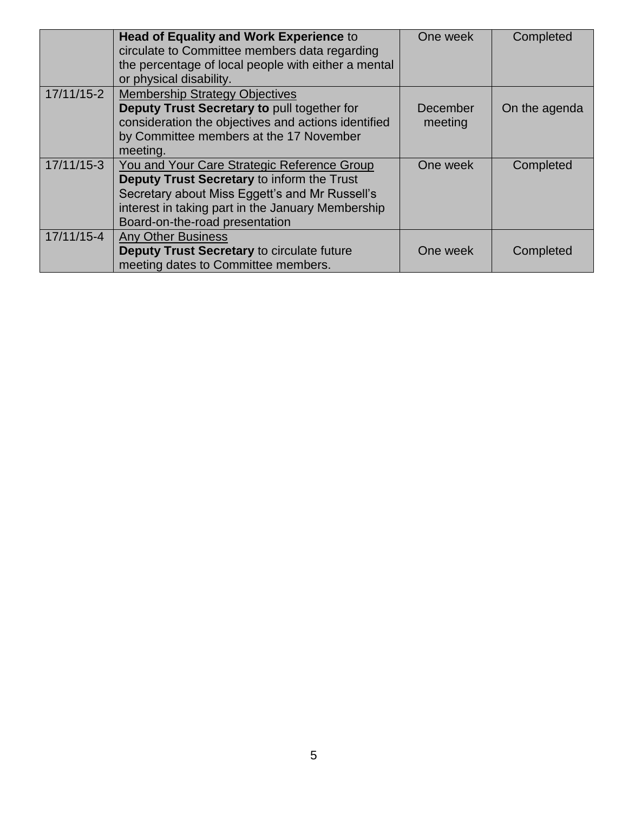|              | <b>Head of Equality and Work Experience to</b><br>circulate to Committee members data regarding<br>the percentage of local people with either a mental<br>or physical disability.                                                  | One week            | Completed     |
|--------------|------------------------------------------------------------------------------------------------------------------------------------------------------------------------------------------------------------------------------------|---------------------|---------------|
| $17/11/15-2$ | <b>Membership Strategy Objectives</b><br>Deputy Trust Secretary to pull together for<br>consideration the objectives and actions identified<br>by Committee members at the 17 November<br>meeting.                                 | December<br>meeting | On the agenda |
| $17/11/15-3$ | You and Your Care Strategic Reference Group<br>Deputy Trust Secretary to inform the Trust<br>Secretary about Miss Eggett's and Mr Russell's<br>interest in taking part in the January Membership<br>Board-on-the-road presentation | One week            | Completed     |
| 17/11/15-4   | <b>Any Other Business</b><br>Deputy Trust Secretary to circulate future<br>meeting dates to Committee members.                                                                                                                     | One week            | Completed     |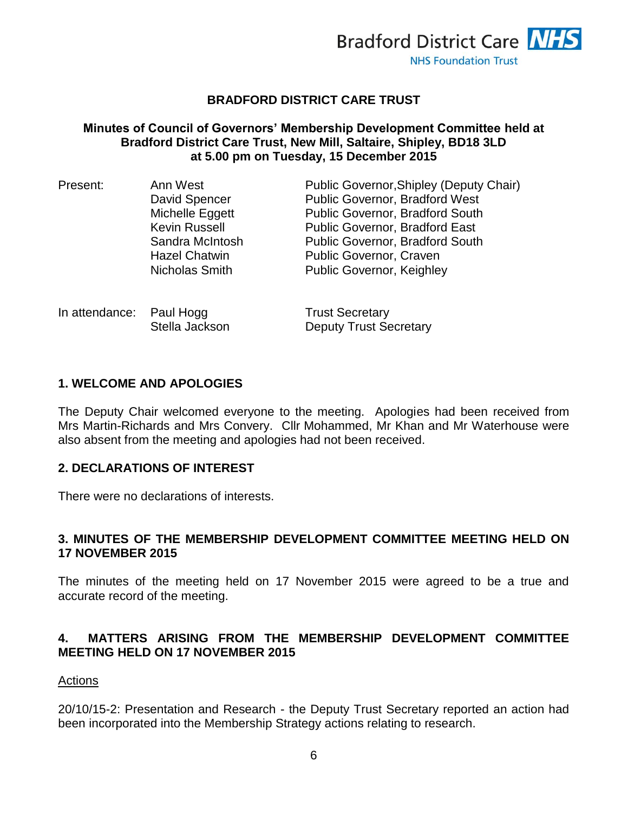

#### **BRADFORD DISTRICT CARE TRUST**

#### **Minutes of Council of Governors' Membership Development Committee held at Bradford District Care Trust, New Mill, Saltaire, Shipley, BD18 3LD at 5.00 pm on Tuesday, 15 December 2015**

| Present: | Ann West             | Public Governor, Shipley (Deputy Chair) |
|----------|----------------------|-----------------------------------------|
|          | David Spencer        | <b>Public Governor, Bradford West</b>   |
|          | Michelle Eggett      | <b>Public Governor, Bradford South</b>  |
|          | <b>Kevin Russell</b> | <b>Public Governor, Bradford East</b>   |
|          | Sandra McIntosh      | <b>Public Governor, Bradford South</b>  |
|          | <b>Hazel Chatwin</b> | <b>Public Governor, Craven</b>          |
|          | Nicholas Smith       | <b>Public Governor, Keighley</b>        |
|          |                      |                                         |

| In attendance: Paul Hogg |                | <b>Trust Secretary</b>        |
|--------------------------|----------------|-------------------------------|
|                          | Stella Jackson | <b>Deputy Trust Secretary</b> |

#### **1. WELCOME AND APOLOGIES**

The Deputy Chair welcomed everyone to the meeting. Apologies had been received from Mrs Martin-Richards and Mrs Convery. Cllr Mohammed, Mr Khan and Mr Waterhouse were also absent from the meeting and apologies had not been received.

#### **2. DECLARATIONS OF INTEREST**

There were no declarations of interests.

#### **3. MINUTES OF THE MEMBERSHIP DEVELOPMENT COMMITTEE MEETING HELD ON 17 NOVEMBER 2015**

The minutes of the meeting held on 17 November 2015 were agreed to be a true and accurate record of the meeting.

### **4. MATTERS ARISING FROM THE MEMBERSHIP DEVELOPMENT COMMITTEE MEETING HELD ON 17 NOVEMBER 2015**

#### Actions

20/10/15-2: Presentation and Research - the Deputy Trust Secretary reported an action had been incorporated into the Membership Strategy actions relating to research.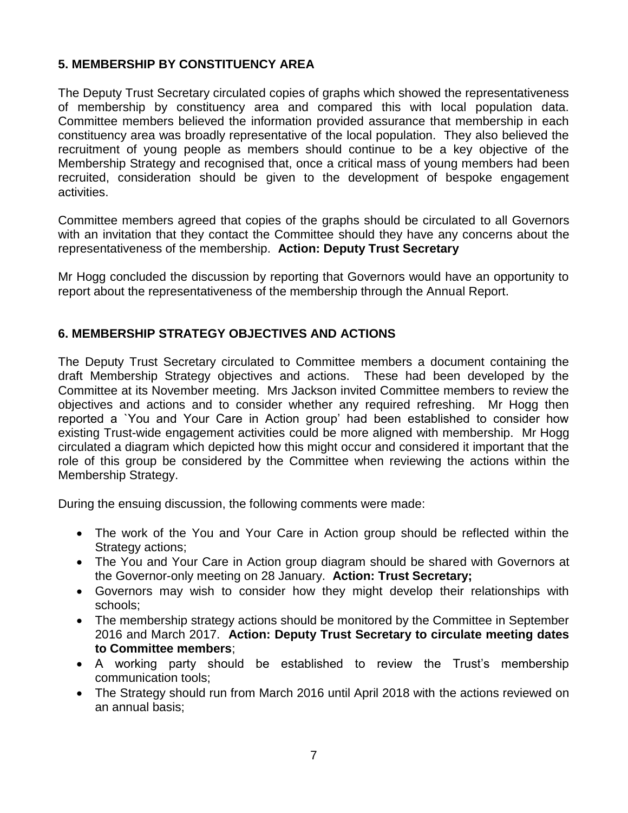# **5. MEMBERSHIP BY CONSTITUENCY AREA**

The Deputy Trust Secretary circulated copies of graphs which showed the representativeness of membership by constituency area and compared this with local population data. Committee members believed the information provided assurance that membership in each constituency area was broadly representative of the local population. They also believed the recruitment of young people as members should continue to be a key objective of the Membership Strategy and recognised that, once a critical mass of young members had been recruited, consideration should be given to the development of bespoke engagement activities.

Committee members agreed that copies of the graphs should be circulated to all Governors with an invitation that they contact the Committee should they have any concerns about the representativeness of the membership. **Action: Deputy Trust Secretary**

Mr Hogg concluded the discussion by reporting that Governors would have an opportunity to report about the representativeness of the membership through the Annual Report.

# **6. MEMBERSHIP STRATEGY OBJECTIVES AND ACTIONS**

The Deputy Trust Secretary circulated to Committee members a document containing the draft Membership Strategy objectives and actions. These had been developed by the Committee at its November meeting. Mrs Jackson invited Committee members to review the objectives and actions and to consider whether any required refreshing. Mr Hogg then reported a `You and Your Care in Action group' had been established to consider how existing Trust-wide engagement activities could be more aligned with membership. Mr Hogg circulated a diagram which depicted how this might occur and considered it important that the role of this group be considered by the Committee when reviewing the actions within the Membership Strategy.

During the ensuing discussion, the following comments were made:

- The work of the You and Your Care in Action group should be reflected within the Strategy actions;
- The You and Your Care in Action group diagram should be shared with Governors at the Governor-only meeting on 28 January. **Action: Trust Secretary;**
- Governors may wish to consider how they might develop their relationships with schools;
- The membership strategy actions should be monitored by the Committee in September 2016 and March 2017. **Action: Deputy Trust Secretary to circulate meeting dates to Committee members**;
- A working party should be established to review the Trust's membership communication tools;
- The Strategy should run from March 2016 until April 2018 with the actions reviewed on an annual basis;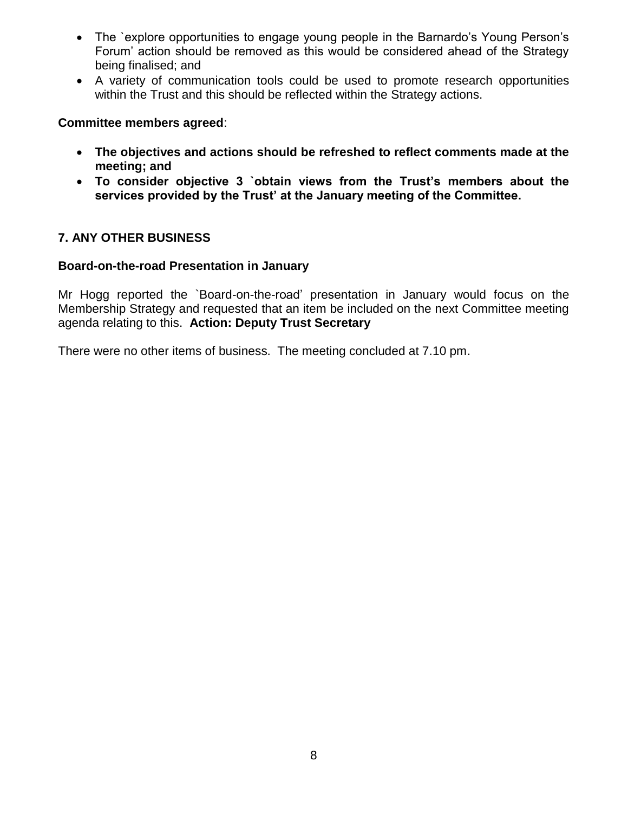- The `explore opportunities to engage young people in the Barnardo's Young Person's Forum' action should be removed as this would be considered ahead of the Strategy being finalised; and
- A variety of communication tools could be used to promote research opportunities within the Trust and this should be reflected within the Strategy actions.

#### **Committee members agreed**:

- **The objectives and actions should be refreshed to reflect comments made at the meeting; and**
- **To consider objective 3 `obtain views from the Trust's members about the services provided by the Trust' at the January meeting of the Committee.**

### **7. ANY OTHER BUSINESS**

#### **Board-on-the-road Presentation in January**

Mr Hogg reported the `Board-on-the-road' presentation in January would focus on the Membership Strategy and requested that an item be included on the next Committee meeting agenda relating to this. **Action: Deputy Trust Secretary**

There were no other items of business. The meeting concluded at 7.10 pm.